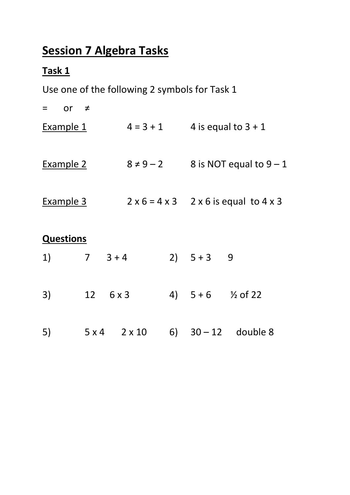# **Session 7 Algebra Tasks**

## **Task 1**

Use one of the following 2 symbols for Task 1

| or $\neq$<br>$=$ |                 |                       |                |                              |                                                   |
|------------------|-----------------|-----------------------|----------------|------------------------------|---------------------------------------------------|
| Example 1        |                 |                       | $4 = 3 + 1$    |                              | 4 is equal to $3 + 1$                             |
| <b>Example 2</b> |                 |                       | $8 \neq 9 - 2$ |                              | 8 is NOT equal to $9 - 1$                         |
| Example 3        |                 |                       |                |                              | $2 \times 6 = 4 \times 3$ 2 x 6 is equal to 4 x 3 |
| <b>Questions</b> |                 |                       |                |                              |                                                   |
| 1)               | $7 \quad 3 + 4$ |                       |                | 2) $5+3$ 9                   |                                                   |
| 3)               |                 | $12 \quad 6 \times 3$ |                | 4) $5+6$ $\frac{1}{2}$ of 22 |                                                   |
| 5)               |                 |                       | $5x4$ $2x10$   |                              | 6) $30 - 12$ double 8                             |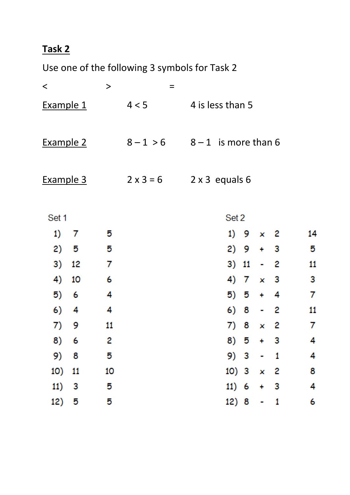Use one of the following 3 symbols for Task 2

| $\,<\,$          |     | $\qquad \qquad$ |                                    | $=$ |                       |                  |   |                 |            |    |
|------------------|-----|-----------------|------------------------------------|-----|-----------------------|------------------|---|-----------------|------------|----|
| Example 1        |     |                 | 4 < 5                              |     |                       | 4 is less than 5 |   |                 |            |    |
| Example 2        |     |                 | $8 - 1 > 6$ $8 - 1$ is more than 6 |     |                       |                  |   |                 |            |    |
| <u>Example 3</u> |     |                 | $2 \times 3 = 6$                   |     | $2 \times 3$ equals 6 |                  |   |                 |            |    |
| Set 1            |     |                 |                                    |     |                       | Set 2            |   |                 |            |    |
| 1)               | -7  | 5               |                                    |     |                       |                  |   | 1) $9 \times 2$ |            | 14 |
| 2)               | - 5 | 5               |                                    |     |                       |                  |   | $2) 9 + 3$      |            | 5  |
| 3)               | 12  | 7               |                                    |     |                       | 3) 11            |   | $\sim$          | - 2        | 11 |
| 4)               | 10  | 6               |                                    |     |                       |                  |   | 4) $7 \times 3$ |            | 3  |
| 5)               | - 6 | 4               |                                    |     |                       |                  |   | $5) 5 + 4$      |            | 7  |
| 6)               | 4   | 4               |                                    |     |                       | 6) 8             |   | ٠               | - 2        | 11 |
| 7)               | 9   | 11              |                                    |     |                       | 7)               | 8 |                 | $\times$ 2 | 7  |
| 8)               | - 6 | 2               |                                    |     |                       | 8) 5             |   | ۰.              | з          | 4  |
| 9) 8             |     | 5               |                                    |     |                       | 9) 3             |   | ۰               | 1          | 4  |
| 10) 11           |     | 10              |                                    |     |                       | 10) $3 \times 2$ |   |                 |            | 8  |
| 11)              | -3  | 5               |                                    |     |                       | 11) 6            |   | 4               | - 3        | 4  |
| 12) 5            |     | 5               |                                    |     |                       | 12) 8            |   | ۰               | 1          | 6  |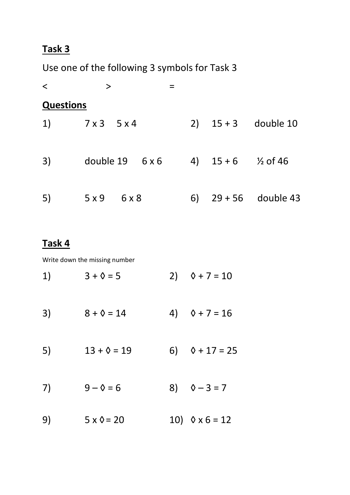Use one of the following 3 symbols for Task 3

| $\langle$        | $\geq$                       |    |                               |                       |
|------------------|------------------------------|----|-------------------------------|-----------------------|
| <b>Questions</b> |                              |    |                               |                       |
|                  | 1) $7 \times 3$ $5 \times 4$ |    |                               | 2) $15 + 3$ double 10 |
| 3)               | double $19$ 6 x 6            |    | 4) $15+6$ $\frac{1}{2}$ of 46 |                       |
| 5)               | 5x9<br>6 x 8                 | 6) |                               | $29 + 56$ double 43   |

#### **Task 4**

Write down the missing number

| 1) | $3 + \lozenge = 5$   | 2) $0 + 7 = 10$         |
|----|----------------------|-------------------------|
| 3) | $8 + 0 = 14$         | 4) $\Diamond$ + 7 = 16  |
| 5) | $13 + \lozenge = 19$ | 6) $\Diamond + 17 = 25$ |
| 7) | $9 - 0 = 6$          | 8) $\sqrt{0} - 3 = 7$   |
| 9) | $5 \times 0 = 20$    | 10) $0 \times 6 = 12$   |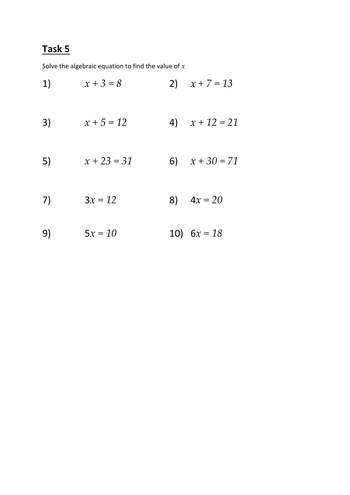Solve the algebraic equation to find the value of *x*

1)  $x + 3 = 8$  2)  $x + 7 = 13$ 3)  $x + 5 = 12$  4)  $x + 12 = 21$ 5)  $x + 23 = 31$  6)  $x + 30 = 71$ 7)  $3x = 12$  8)  $4x = 20$ 9) 5*x = 10* 10) 6*x = 18*